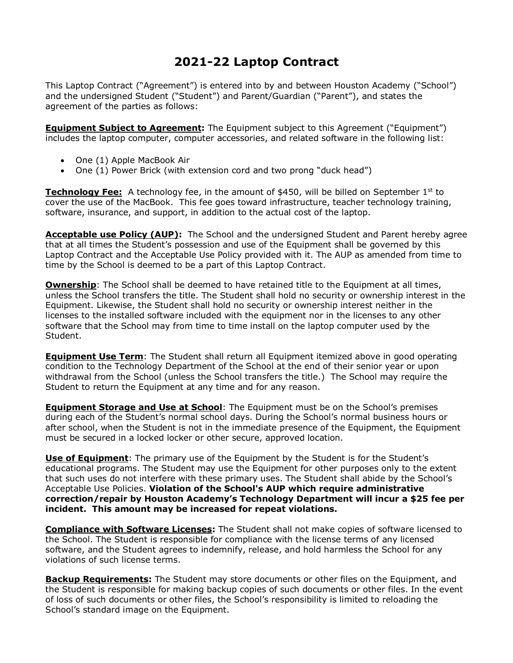## **2021-22 Laptop Contract**

This Laptop Contract ("Agreement") is entered into by and between Houston Academy ("School") and the undersigned Student ("Student") and Parent/Guardian ("Parent"), and states the agreement of the parties as follows:

**Equipment Subject to Agreement:** The Equipment subject to this Agreement ("Equipment") includes the laptop computer, computer accessories, and related software in the following list:

- One (1) Apple MacBook Air
- One (1) Power Brick (with extension cord and two prong "duck head")

**Technology Fee:** A technology fee, in the amount of \$450, will be billed on September 1<sup>st</sup> to cover the use of the MacBook. This fee goes toward infrastructure, teacher technology training, software, insurance, and support, in addition to the actual cost of the laptop.

Acceptable use Policy (AUP): The School and the undersigned Student and Parent hereby agree that at all times the Student's possession and use of the Equipment shall be governed by this Laptop Contract and the Acceptable Use Policy provided with it. The AUP as amended from time to time by the School is deemed to be a part of this Laptop Contract.

**Ownership**: The School shall be deemed to have retained title to the Equipment at all times, unless the School transfers the title. The Student shall hold no security or ownership interest in the Equipment. Likewise, the Student shall hold no security or ownership interest neither in the licenses to the installed software included with the equipment nor in the licenses to any other software that the School may from time to time install on the laptop computer used by the Student.

**Equipment Use Term**: The Student shall return all Equipment itemized above in good operating condition to the Technology Department of the School at the end of their senior year or upon withdrawal from the School (unless the School transfers the title.) The School may require the Student to return the Equipment at any time and for any reason.

**Equipment Storage and Use at School**: The Equipment must be on the School's premises during each of the Student's normal school days. During the School's normal business hours or after school, when the Student is not in the immediate presence of the Equipment, the Equipment must be secured in a locked locker or other secure, approved location.

**Use of Equipment**: The primary use of the Equipment by the Student is for the Student's educational programs. The Student may use the Equipment for other purposes only to the extent that such uses do not interfere with these primary uses. The Student shall abide by the School's Acceptable Use Policies. **Violation of the School's AUP which require administrative correction/repair by Houston Academy's Technology Department will incur a \$25 fee per incident. This amount may be increased for repeat violations.**

**Compliance with Software Licenses:** The Student shall not make copies of software licensed to the School. The Student is responsible for compliance with the license terms of any licensed software, and the Student agrees to indemnify, release, and hold harmless the School for any violations of such license terms.

**Backup Requirements:** The Student may store documents or other files on the Equipment, and the Student is responsible for making backup copies of such documents or other files. In the event of loss of such documents or other files, the School's responsibility is limited to reloading the School's standard image on the Equipment.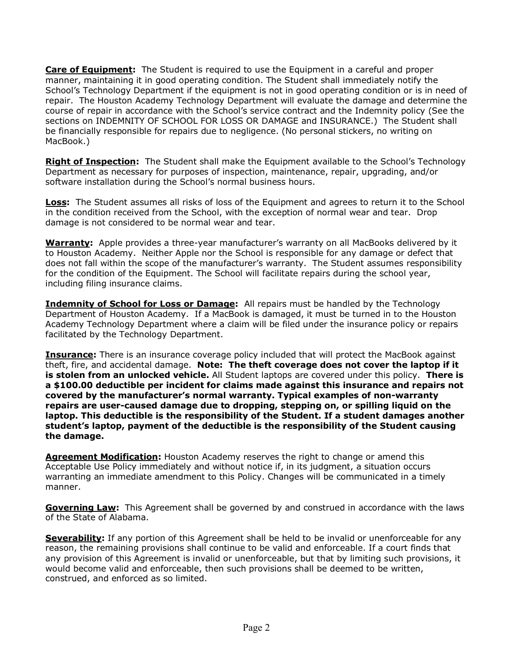**Care of Equipment:** The Student is required to use the Equipment in a careful and proper manner, maintaining it in good operating condition. The Student shall immediately notify the School's Technology Department if the equipment is not in good operating condition or is in need of repair. The Houston Academy Technology Department will evaluate the damage and determine the course of repair in accordance with the School's service contract and the Indemnity policy (See the sections on INDEMNITY OF SCHOOL FOR LOSS OR DAMAGE and INSURANCE.) The Student shall be financially responsible for repairs due to negligence. (No personal stickers, no writing on MacBook.)

**Right of Inspection:** The Student shall make the Equipment available to the School's Technology Department as necessary for purposes of inspection, maintenance, repair, upgrading, and/or software installation during the School's normal business hours.

**Loss:** The Student assumes all risks of loss of the Equipment and agrees to return it to the School in the condition received from the School, with the exception of normal wear and tear. Drop damage is not considered to be normal wear and tear.

**Warranty:** Apple provides a three-year manufacturer's warranty on all MacBooks delivered by it to Houston Academy. Neither Apple nor the School is responsible for any damage or defect that does not fall within the scope of the manufacturer's warranty. The Student assumes responsibility for the condition of the Equipment. The School will facilitate repairs during the school year, including filing insurance claims.

**Indemnity of School for Loss or Damage:** All repairs must be handled by the Technology Department of Houston Academy. If a MacBook is damaged, it must be turned in to the Houston Academy Technology Department where a claim will be filed under the insurance policy or repairs facilitated by the Technology Department.

**Insurance:** There is an insurance coverage policy included that will protect the MacBook against theft, fire, and accidental damage. **Note: The theft coverage does not cover the laptop if it is stolen from an unlocked vehicle.** All Student laptops are covered under this policy. **There is a \$100.00 deductible per incident for claims made against this insurance and repairs not covered by the manufacturer's normal warranty. Typical examples of non-warranty repairs are user-caused damage due to dropping, stepping on, or spilling liquid on the laptop. This deductible is the responsibility of the Student. If a student damages another student's laptop, payment of the deductible is the responsibility of the Student causing the damage.** 

**Agreement Modification:** Houston Academy reserves the right to change or amend this Acceptable Use Policy immediately and without notice if, in its judgment, a situation occurs warranting an immediate amendment to this Policy. Changes will be communicated in a timely manner.

**Governing Law:** This Agreement shall be governed by and construed in accordance with the laws of the State of Alabama.

**Severability:** If any portion of this Agreement shall be held to be invalid or unenforceable for any reason, the remaining provisions shall continue to be valid and enforceable. If a court finds that any provision of this Agreement is invalid or unenforceable, but that by limiting such provisions, it would become valid and enforceable, then such provisions shall be deemed to be written, construed, and enforced as so limited.